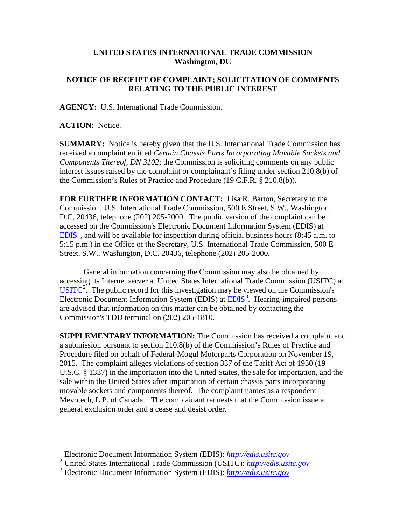## **UNITED STATES INTERNATIONAL TRADE COMMISSION Washington, DC**

## **NOTICE OF RECEIPT OF COMPLAINT; SOLICITATION OF COMMENTS RELATING TO THE PUBLIC INTEREST**

**AGENCY:** U.S. International Trade Commission.

**ACTION:** Notice.

**SUMMARY:** Notice is hereby given that the U.S. International Trade Commission has received a complaint entitled *Certain Chassis Parts Incorporating Movable Sockets and Components Thereof, DN 3102*; the Commission is soliciting comments on any public interest issues raised by the complaint or complainant's filing under section 210.8(b) of the Commission's Rules of Practice and Procedure (19 C.F.R. § 210.8(b)).

**FOR FURTHER INFORMATION CONTACT:** Lisa R. Barton, Secretary to the Commission, U.S. International Trade Commission, 500 E Street, S.W., Washington, D.C. 20436, telephone (202) 205-2000. The public version of the complaint can be accessed on the Commission's Electronic Document Information System (EDIS) at  $EDIS<sup>1</sup>$  $EDIS<sup>1</sup>$  $EDIS<sup>1</sup>$  $EDIS<sup>1</sup>$ , and will be available for inspection during official business hours (8:45 a.m. to 5:15 p.m.) in the Office of the Secretary, U.S. International Trade Commission, 500 E Street, S.W., Washington, D.C. 20436, telephone (202) 205-2000.

General information concerning the Commission may also be obtained by accessing its Internet server at United States International Trade Commission (USITC) at  $\overline{USTTC}^2$  $\overline{USTTC}^2$ . The public record for this investigation may be viewed on the Commission's Electronic Document Information System (EDIS) at **EDIS**<sup>[3](#page-0-2)</sup>. Hearing-impaired persons are advised that information on this matter can be obtained by contacting the Commission's TDD terminal on (202) 205-1810.

**SUPPLEMENTARY INFORMATION:** The Commission has received a complaint and a submission pursuant to section 210.8(b) of the Commission's Rules of Practice and Procedure filed on behalf of Federal-Mogul Motorparts Corporation on November 19, 2015. The complaint alleges violations of section 337 of the Tariff Act of 1930 (19 U.S.C. § 1337) in the importation into the United States, the sale for importation, and the sale within the United States after importation of certain chassis parts incorporating movable sockets and components thereof. The complaint names as a respondent Mevotech, L.P. of Canada. The complainant requests that the Commission issue a general exclusion order and a cease and desist order.

<span id="page-0-0"></span> <sup>1</sup> Electronic Document Information System (EDIS): *[http://edis.usitc.gov](http://edis.usitc.gov/)*

<span id="page-0-1"></span><sup>2</sup> United States International Trade Commission (USITC): *[http://edis.usitc.gov](http://edis.usitc.gov/)*

<span id="page-0-2"></span><sup>3</sup> Electronic Document Information System (EDIS): *[http://edis.usitc.gov](http://edis.usitc.gov/)*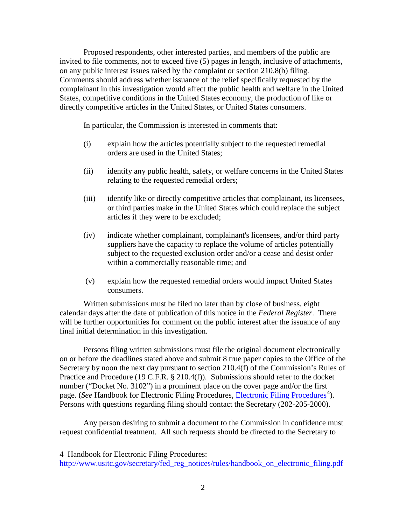Proposed respondents, other interested parties, and members of the public are invited to file comments, not to exceed five (5) pages in length, inclusive of attachments, on any public interest issues raised by the complaint or section 210.8(b) filing. Comments should address whether issuance of the relief specifically requested by the complainant in this investigation would affect the public health and welfare in the United States, competitive conditions in the United States economy, the production of like or directly competitive articles in the United States, or United States consumers.

In particular, the Commission is interested in comments that:

- (i) explain how the articles potentially subject to the requested remedial orders are used in the United States;
- (ii) identify any public health, safety, or welfare concerns in the United States relating to the requested remedial orders;
- (iii) identify like or directly competitive articles that complainant, its licensees, or third parties make in the United States which could replace the subject articles if they were to be excluded;
- (iv) indicate whether complainant, complainant's licensees, and/or third party suppliers have the capacity to replace the volume of articles potentially subject to the requested exclusion order and/or a cease and desist order within a commercially reasonable time; and
- (v) explain how the requested remedial orders would impact United States consumers.

Written submissions must be filed no later than by close of business, eight calendar days after the date of publication of this notice in the *Federal Register*. There will be further opportunities for comment on the public interest after the issuance of any final initial determination in this investigation.

Persons filing written submissions must file the original document electronically on or before the deadlines stated above and submit 8 true paper copies to the Office of the Secretary by noon the next day pursuant to section 210.4(f) of the Commission's Rules of Practice and Procedure (19 C.F.R. § 210.4(f)). Submissions should refer to the docket number ("Docket No. 3102") in a prominent place on the cover page and/or the first page. (*See* Handbook for [Electronic Filing Procedures](http://www.usitc.gov/secretary/fed_reg_notices/rules/handbook_on_electronic_filing.pdf), *Electronic Filing Procedures*<sup>[4](#page-1-0)</sup>). Persons with questions regarding filing should contact the Secretary (202-205-2000).

Any person desiring to submit a document to the Commission in confidence must request confidential treatment. All such requests should be directed to the Secretary to

 $\overline{a}$ 

<span id="page-1-0"></span><sup>4</sup> Handbook for Electronic Filing Procedures:

http://www.usitc.gov/secretary/fed\_reg\_notices/rules/handbook\_on\_electronic\_filing.pdf